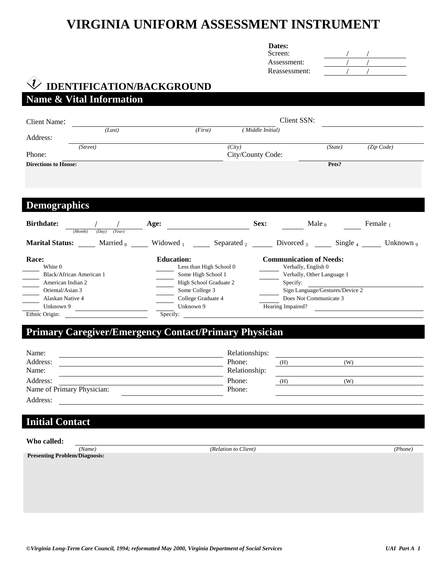# **VIRGINIA UNIFORM ASSESSMENT INSTRUMENT**

| <b>Dates:</b> |
|---------------|
| Screen:       |

| Screen:       |  |  |
|---------------|--|--|
| Assessment:   |  |  |
| Reassessment: |  |  |

#### **IDENTIFICATION/BACKGROUND**   $\langle i \rangle$ **Name & Vital Information**

| Client Name:                                    |                                              | Client SSN:       |                                                       |                 |
|-------------------------------------------------|----------------------------------------------|-------------------|-------------------------------------------------------|-----------------|
| (Last)                                          | (First)                                      | (Middle Initial)  |                                                       |                 |
| Address:                                        |                                              |                   |                                                       |                 |
| (Street)                                        | (City)                                       |                   | (State)                                               | (Zip Code)      |
| Phone:                                          |                                              | City/County Code: |                                                       |                 |
| <b>Directions to House:</b>                     |                                              |                   | Pets?                                                 |                 |
|                                                 |                                              |                   |                                                       |                 |
|                                                 |                                              |                   |                                                       |                 |
| <b>Demographics</b>                             |                                              |                   |                                                       |                 |
| <b>Birthdate:</b><br>(Year)<br>(Month)<br>(Dav) | Age:                                         | Sex:              | Male $_0$                                             | Female $_1$     |
| <b>Marital Status:</b><br>Married <sub>0</sub>  | Separated $_2$<br>Widowed $_1$               |                   | Divorced $_3$ Single $_4$                             | Unknown $\circ$ |
| Race:<br>White 0                                | <b>Education:</b><br>Less than High School 0 |                   | <b>Communication of Needs:</b><br>Verbally, English 0 |                 |
| Black/African American 1                        | Some High School 1                           |                   | Verbally, Other Language 1                            |                 |
| American Indian 2                               | High School Graduate 2                       | Specify:          |                                                       |                 |
| Oriental/Asian 3                                | Some College 3                               |                   | Sign Language/Gestures/Device 2                       |                 |
| Alaskan Native 4                                | College Graduate 4                           |                   | Does Not Communicate 3                                |                 |
| Unknown 9                                       | Unknown 9                                    | Hearing Impaired? |                                                       |                 |
| Ethnic Origin:                                  | Specify:                                     |                   |                                                       |                 |

# **Primary Caregiver/Emergency Contact/Primary Physician**

| Name:                      | Relationships: |     |     |  |
|----------------------------|----------------|-----|-----|--|
| Address:                   | Phone:         | (H) | (W) |  |
| Name:                      | Relationship:  |     |     |  |
| Address:                   | Phone:         | (H) | (W) |  |
| Name of Primary Physician: | Phone:         |     |     |  |
| Address:                   |                |     |     |  |

# **Initial Contact**

**Presenting Problem/Diagnosis:** 

*(Name) (Relation to Client) (Phone)*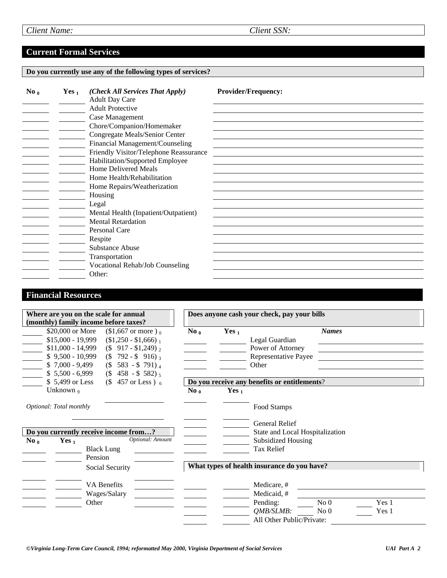# **Current Formal Services**

#### **Do you currently use any of the following types of services?**

| $\bf{No}$ <sub>0</sub> | Yes <sub>1</sub> | (Check All Services That Apply)<br><b>Adult Day Care</b> | <b>Provider/Frequency:</b> |
|------------------------|------------------|----------------------------------------------------------|----------------------------|
|                        |                  | <b>Adult Protective</b>                                  |                            |
|                        |                  | Case Management                                          |                            |
|                        |                  | Chore/Companion/Homemaker                                |                            |
|                        |                  | Congregate Meals/Senior Center                           |                            |
|                        |                  | Financial Management/Counseling                          |                            |
|                        |                  | Friendly Visitor/Telephone Reassurance                   |                            |
|                        |                  | Habilitation/Supported Employee                          |                            |
|                        |                  | <b>Home Delivered Meals</b>                              |                            |
|                        |                  | Home Health/Rehabilitation                               |                            |
|                        |                  | Home Repairs/Weatherization                              |                            |
|                        |                  | Housing                                                  |                            |
|                        |                  | Legal                                                    |                            |
|                        |                  | Mental Health (Inpatient/Outpatient)                     |                            |
|                        |                  | <b>Mental Retardation</b>                                |                            |
|                        |                  | Personal Care                                            |                            |
|                        |                  | Respite                                                  |                            |
|                        |                  | Substance Abuse                                          |                            |
|                        |                  | Transportation                                           |                            |
|                        |                  | <b>Vocational Rehab/Job Counseling</b>                   |                            |
|                        |                  | Other:                                                   |                            |

# **Financial Resources**

|                                                                                                                                                                         | Where are you on the scale for annual<br>(monthly) family income before taxes?                        |                                                                                                                                                                                            | Does anyone cash your check, pay your bills |          |                                                                                                                    |                                    |                |
|-------------------------------------------------------------------------------------------------------------------------------------------------------------------------|-------------------------------------------------------------------------------------------------------|--------------------------------------------------------------------------------------------------------------------------------------------------------------------------------------------|---------------------------------------------|----------|--------------------------------------------------------------------------------------------------------------------|------------------------------------|----------------|
| $\frac{1}{\sqrt{2}}$<br>$\frac{1}{2}$                                                                                                                                   | \$20,000 or More<br>$$15,000 - 19,999$<br>$$11,000 - 14,999$<br>$$9,500 - 10,999$<br>$$7,000 - 9,499$ | $$1,667$ or more) <sub>0</sub><br>$$1,250 - $1,666$ <sub>1</sub><br>$($ \$ 917 - \$1,249) $_2$<br>$($ \$792 - \$916) $_3$<br>$(S\ 583 - S\ 791)_4$<br>$$5,500 - 6,999$ (\$ 458 - \$ 582) 5 | $\bf{No}$ <sub>0</sub>                      | Yes $_1$ | Legal Guardian<br>Power of Attorney<br>Representative Payee<br>Other                                               | <b>Names</b>                       |                |
|                                                                                                                                                                         | \$5,499 or Less                                                                                       | $($ 457 or Less $)$ 6                                                                                                                                                                      |                                             |          | Do you receive any benefits or entitlements?                                                                       |                                    |                |
| Unknown <sub>9</sub><br>Optional: Total monthly<br>Do you currently receive income from?<br>Optional: Amount<br>$\bf{No}$ <sub>0</sub><br>Yes $_1$<br><b>Black Lung</b> |                                                                                                       |                                                                                                                                                                                            | $\bf{No}$ <sub>0</sub>                      | Yes $_1$ | Food Stamps<br><b>General Relief</b><br>State and Local Hospitalization<br><b>Subsidized Housing</b><br>Tax Relief |                                    |                |
|                                                                                                                                                                         | Pension                                                                                               | Social Security<br><b>VA Benefits</b><br>Wages/Salary                                                                                                                                      |                                             |          | What types of health insurance do you have?<br>Medicare, #<br>Medicaid, #                                          |                                    |                |
|                                                                                                                                                                         | Other                                                                                                 |                                                                                                                                                                                            |                                             |          | Pending:<br><i><b>OMB/SLMB:</b></i><br>All Other Public/Private:                                                   | No <sub>0</sub><br>No <sub>0</sub> | Yes 1<br>Yes 1 |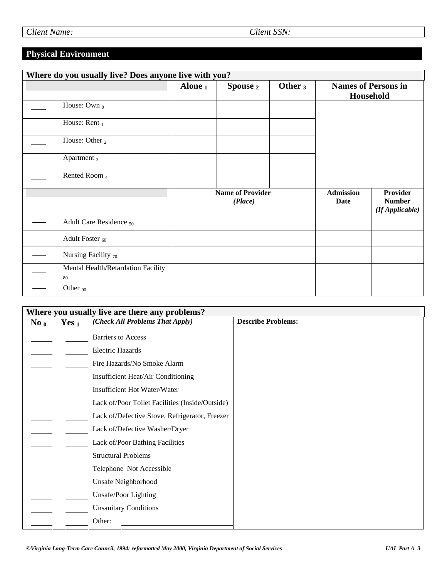# **Physical Environment**

| Where do you usually live? Does anyone live with you? |                                          |            |                                    |            |                                 |                                                     |
|-------------------------------------------------------|------------------------------------------|------------|------------------------------------|------------|---------------------------------|-----------------------------------------------------|
|                                                       |                                          | Alone $_1$ | Spouse 2                           | Other $_3$ |                                 | <b>Names of Persons in</b><br>Household             |
|                                                       | House: Own $_0$                          |            |                                    |            |                                 |                                                     |
|                                                       | House: Rent $_1$                         |            |                                    |            |                                 |                                                     |
|                                                       | House: Other $_2$                        |            |                                    |            |                                 |                                                     |
|                                                       | Apartment <sub>3</sub>                   |            |                                    |            |                                 |                                                     |
|                                                       | Rented Room 4                            |            |                                    |            |                                 |                                                     |
|                                                       |                                          |            | <b>Name of Provider</b><br>(Place) |            | <b>Admission</b><br><b>Date</b> | <b>Provider</b><br><b>Number</b><br>(If Applicable) |
|                                                       | Adult Care Residence <sub>50</sub>       |            |                                    |            |                                 |                                                     |
|                                                       | Adult Foster <sub>60</sub>               |            |                                    |            |                                 |                                                     |
|                                                       | Nursing Facility $70$                    |            |                                    |            |                                 |                                                     |
|                                                       | Mental Health/Retardation Facility<br>80 |            |                                    |            |                                 |                                                     |
|                                                       | Other $90$                               |            |                                    |            |                                 |                                                     |

| $\bf{No}$ <sub>0</sub> | Yes $_1$ | Where you usually live are there any problems?<br>(Check All Problems That Apply) | <b>Describe Problems:</b> |
|------------------------|----------|-----------------------------------------------------------------------------------|---------------------------|
|                        |          | <b>Barriers</b> to Access                                                         |                           |
|                        |          | <b>Electric Hazards</b>                                                           |                           |
|                        |          | Fire Hazards/No Smoke Alarm                                                       |                           |
|                        |          | Insufficient Heat/Air Conditioning                                                |                           |
|                        |          | Insufficient Hot Water/Water                                                      |                           |
|                        |          | Lack of/Poor Toilet Facilities (Inside/Outside)                                   |                           |
|                        |          | Lack of/Defective Stove, Refrigerator, Freezer                                    |                           |
|                        |          | Lack of/Defective Washer/Dryer                                                    |                           |
|                        |          | Lack of/Poor Bathing Facilities                                                   |                           |
|                        |          | <b>Structural Problems</b>                                                        |                           |
|                        |          | Telephone Not Accessible                                                          |                           |
|                        |          | Unsafe Neighborhood                                                               |                           |
|                        |          | Unsafe/Poor Lighting                                                              |                           |
|                        |          | <b>Unsanitary Conditions</b>                                                      |                           |
|                        |          | Other:                                                                            |                           |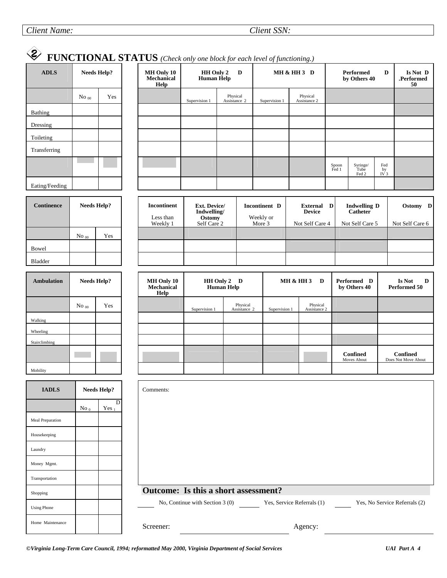#### *Client Name: Client SSN:*

#### $\bigotimes$  **FUNCTIONAL STATUS** *(Check only one block for each level of functioning.)*   **MH & HH 3 D Performed D MH Only 10 HH Only 2 D Is Not D ADLS Needs Help? by Others 40 Mechanical Human Help .Performed Help 50**  ٦ Physical<br>Assistance Physical  $\mathrm{No}_{00}$  Yes Supervision 1 Supervision 1 **Assistance** Bathing Dressing Toileting Transferring Fed Spoon Fed 1 Syringe/ Tube by IV 3 Fed 2 Eating/Feeding **Continence Needs Help? Incontinent D External D Indwelling D Ostomy D Ext. Device/ Incontinent Indwelling/ Device Catheter**  Less than  **Ostomy** Weekly or Weekly 1 Self Care 2 More 3 Not Self Care 4 Not Self Care 5 Not Self Care 6 No <sub>00</sub> Yes Bowel Bladder  **MH Only 10 MH & HH 3 D Performed D Is Not D Ambulation Needs Help? HH Only 2 D Mechanical Human Help by Others 40 Performed 50 Help**  Physical<br>Assistance Physical No <sub>00</sub> Yes Supervision 1 Supervision 1 Assistance 2 Walking Wheeling Stairclimbing **Confined Confined** Moves About Does Not Move About Mobility **IADLS Needs Help?**  Comments: D  $No<sub>0</sub>$  $Yes<sub>1</sub>$ Meal Preparation Housekeeping Laundry Money Mgmt. Transportation **Outcome: Is this a short assessment?**  Shopping No, Continue with Section 3 (0) Yes, Service Referrals (1) Yes, No Service Referrals (2) Using Phone Home Maintenance Screener: Agency: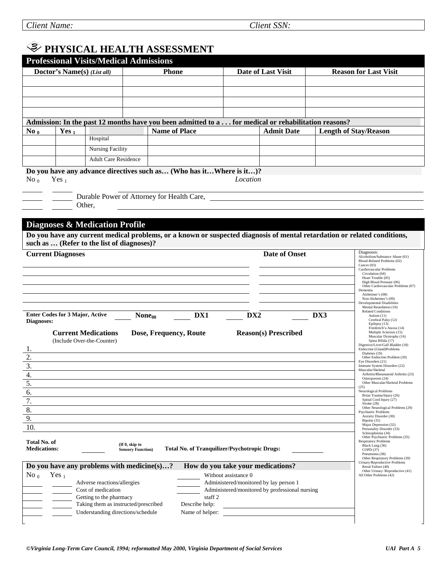# **PHYSICAL HEALTH ASSESSMENT**

|                                     |                                                          | <b>Professional Visits/Medical Admissions</b> |                                                                                                                   |                                        |                                                |                                                                                                                                                                       |  |
|-------------------------------------|----------------------------------------------------------|-----------------------------------------------|-------------------------------------------------------------------------------------------------------------------|----------------------------------------|------------------------------------------------|-----------------------------------------------------------------------------------------------------------------------------------------------------------------------|--|
|                                     | Doctor's Name(s) (List all)                              |                                               | <b>Phone</b>                                                                                                      |                                        | Date of Last Visit                             | <b>Reason for Last Visit</b>                                                                                                                                          |  |
|                                     |                                                          |                                               |                                                                                                                   |                                        |                                                |                                                                                                                                                                       |  |
|                                     |                                                          |                                               |                                                                                                                   |                                        |                                                |                                                                                                                                                                       |  |
|                                     |                                                          |                                               |                                                                                                                   |                                        |                                                |                                                                                                                                                                       |  |
|                                     |                                                          |                                               |                                                                                                                   |                                        |                                                |                                                                                                                                                                       |  |
|                                     |                                                          |                                               | Admission: In the past 12 months have you been admitted to a  for medical or rehabilitation reasons?              |                                        |                                                |                                                                                                                                                                       |  |
| $\bf{No}$ <sub>0</sub>              | Yes $_1$                                                 |                                               | <b>Name of Place</b>                                                                                              |                                        | <b>Admit Date</b>                              | <b>Length of Stay/Reason</b>                                                                                                                                          |  |
|                                     |                                                          | Hospital                                      |                                                                                                                   |                                        |                                                |                                                                                                                                                                       |  |
|                                     |                                                          | <b>Nursing Facility</b>                       |                                                                                                                   |                                        |                                                |                                                                                                                                                                       |  |
|                                     |                                                          | <b>Adult Care Residence</b>                   |                                                                                                                   |                                        |                                                |                                                                                                                                                                       |  |
| No $0$                              | Yes $_1$                                                 |                                               | Do you have any advance directives such as (Who has itWhere is it)?<br>Durable Power of Attorney for Health Care, | Location                               |                                                |                                                                                                                                                                       |  |
|                                     | Other.                                                   |                                               |                                                                                                                   |                                        |                                                |                                                                                                                                                                       |  |
|                                     |                                                          | <b>Diagnoses &amp; Medication Profile</b>     |                                                                                                                   |                                        |                                                |                                                                                                                                                                       |  |
|                                     |                                                          |                                               |                                                                                                                   |                                        |                                                | Do you have any current medical problems, or a known or suspected diagnosis of mental retardation or related conditions,                                              |  |
|                                     |                                                          | such as  (Refer to the list of diagnoses)?    |                                                                                                                   |                                        |                                                |                                                                                                                                                                       |  |
| <b>Current Diagnoses</b>            |                                                          |                                               |                                                                                                                   |                                        | <b>Date of Onset</b>                           | Diagnoses:<br>Alcoholism/Substance Abuse (01)                                                                                                                         |  |
|                                     |                                                          |                                               |                                                                                                                   |                                        |                                                | Blood-Related Problems (02)<br>Cancer (03)<br>Cardiovascular Problems<br>Circulation (04)<br>Heart Trouble (05)                                                       |  |
|                                     |                                                          |                                               |                                                                                                                   |                                        |                                                | High Blood Pressure (06)<br>Other Cardiovascular Problems (07)                                                                                                        |  |
|                                     |                                                          |                                               |                                                                                                                   |                                        |                                                | Dementia<br>Alzheimer's (08)                                                                                                                                          |  |
|                                     |                                                          |                                               |                                                                                                                   |                                        |                                                | Non-Alzheimer's (09)<br><b>Developmental Disabilities</b><br>Mental Retardation (10)                                                                                  |  |
|                                     | <b>Enter Codes for 3 Major, Active</b>                   | $\textbf{None}_{00}$                          | DX1                                                                                                               | DX <sub>2</sub>                        |                                                | <b>Related Conditions</b><br>DX3<br>Autism $(11)$                                                                                                                     |  |
| Diagnoses:                          |                                                          |                                               |                                                                                                                   |                                        |                                                | Cerebral Palsy (12)<br>Epilepsy (13)                                                                                                                                  |  |
|                                     | <b>Current Medications</b><br>(Include Over-the-Counter) |                                               | Dose, Frequency, Route                                                                                            |                                        | <b>Reason(s)</b> Prescribed                    | Friedreich'a Ataxia (14)<br>Multiple Scierosis (15)<br>Muscular Dystrophy (16)<br>Spina Bifida (17)<br>Digestive/Liver/Gall Bladder (18)<br>Endocrine (Gland)Problems |  |
| 1.<br>2.                            |                                                          |                                               |                                                                                                                   |                                        |                                                | Diabetes (19)<br>Other Endocrine Problem (20)                                                                                                                         |  |
| $\overline{3}$ .                    |                                                          |                                               |                                                                                                                   |                                        |                                                | Eye Disorders (21)<br>Immune System Disorders (22)                                                                                                                    |  |
| $\overline{4}$ .                    |                                                          |                                               |                                                                                                                   |                                        |                                                | Muscular/Skeletal<br>Arthritis/Rheumatoid Arthritis (23)<br>Osteoporosis (24)                                                                                         |  |
| 5.                                  |                                                          |                                               |                                                                                                                   |                                        |                                                | Other Muscular/Skeletal Problems<br>(25)                                                                                                                              |  |
| 6.                                  |                                                          |                                               |                                                                                                                   |                                        |                                                | Neurological Problems<br>Brian Trauma/Injury (26)                                                                                                                     |  |
| 7.                                  |                                                          |                                               |                                                                                                                   |                                        |                                                | Spinal Cord Injury (27)<br>Stroke (28)<br>Other Neurological Problems (29)                                                                                            |  |
| 8.                                  |                                                          |                                               |                                                                                                                   |                                        |                                                | <b>Psychiatric Problems</b><br>Anxiety Disorder (30)                                                                                                                  |  |
| 9.                                  |                                                          |                                               |                                                                                                                   |                                        |                                                | Bipolar (31)<br>Major Depression (32)                                                                                                                                 |  |
| 10.                                 |                                                          |                                               |                                                                                                                   |                                        |                                                | Personality Disorder (33)<br>Schizophrenia (34)                                                                                                                       |  |
| Total No. of<br><b>Medications:</b> |                                                          | (If 0, skip to<br><b>Sensory Function</b> )   | Total No. of Tranquilizer/Psychotropic Drugs:                                                                     |                                        |                                                | Other Psychiatric Problems (35)<br><b>Respiratory Problems</b><br>Black Lung (36)<br>COPD(37)<br>Pneumonia (38)<br>Other Respiratory Problems (39)                    |  |
|                                     |                                                          | Do you have any problems with medicine(s)?    |                                                                                                                   | How do you take your medications?      |                                                | Urinary/Reproductive Problems<br>Renal Failure (40)                                                                                                                   |  |
| $No_0$                              | Yes $_1$                                                 |                                               |                                                                                                                   | Without assistance 0                   |                                                | Other Urinary / Reproductive (41)<br>All Other Problems (42)                                                                                                          |  |
|                                     |                                                          | Adverse reactions/allergies                   |                                                                                                                   | Administered/monitored by lay person 1 |                                                |                                                                                                                                                                       |  |
|                                     |                                                          | Cost of medication<br>Getting to the pharmacy |                                                                                                                   | staff <sub>2</sub>                     | Administered/monitored by professional nursing |                                                                                                                                                                       |  |
|                                     |                                                          | Taking them as instructed/prescribed          | Describe help:                                                                                                    |                                        |                                                |                                                                                                                                                                       |  |
|                                     |                                                          | Understanding directions/schedule             | Name of helper:                                                                                                   |                                        |                                                |                                                                                                                                                                       |  |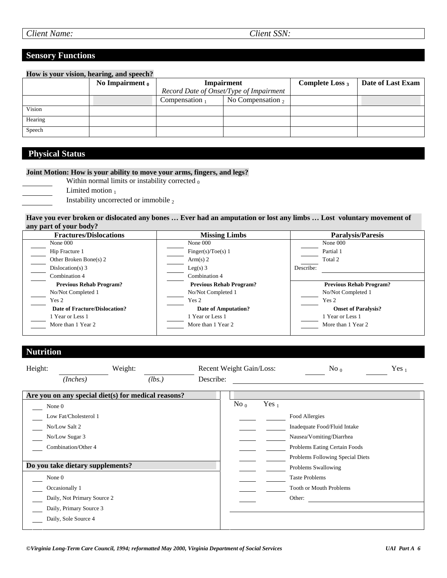#### **Sensory Functions**

|         | How is your vision, hearing, and speech? |                   |                                         |                    |                   |
|---------|------------------------------------------|-------------------|-----------------------------------------|--------------------|-------------------|
|         | No Impairment $0$                        | Impairment        |                                         | Complete Loss $_3$ | Date of Last Exam |
|         |                                          |                   | Record Date of Onset/Type of Impairment |                    |                   |
|         |                                          | Compensation $_1$ | No Compensation $_2$                    |                    |                   |
| Vision  |                                          |                   |                                         |                    |                   |
| Hearing |                                          |                   |                                         |                    |                   |
| Speech  |                                          |                   |                                         |                    |                   |

# **Physical Status**

#### **Joint Motion: How is your ability to move your arms, fingers, and legs?**

Within normal limits or instability corrected  $<sub>0</sub>$ </sub>

- Limited motion  $<sub>1</sub>$ </sub>
- Instability uncorrected or immobile 2

#### **Have you ever broken or dislocated any bones … Ever had an amputation or lost any limbs … Lost voluntary movement of any part of your body?**

| <b>Fractures/Dislocations</b>  | <b>Missing Limbs</b>           | <b>Paralysis/Paresis</b>       |
|--------------------------------|--------------------------------|--------------------------------|
| None 000                       | None 000                       | None 000                       |
| Hip Fracture 1                 | Finger(s)/Toe(s) 1             | Partial 1                      |
| Other Broken Bone(s) 2         | Arm(s) 2                       | Total 2                        |
| Dislocation(s) $3$             | Leg(s) $3$                     | Describe:                      |
| Combination 4                  | Combination 4                  |                                |
| <b>Previous Rehab Program?</b> | <b>Previous Rehab Program?</b> | <b>Previous Rehab Program?</b> |
| No/Not Completed 1             | No/Not Completed 1             | No/Not Completed 1             |
| Yes 2                          | Yes 2                          | Yes 2                          |
| Date of Fracture/Dislocation?  | Date of Amputation?            | <b>Onset of Paralysis?</b>     |
| 1 Year or Less 1               | 1 Year or Less 1               | 1 Year or Less 1               |
| More than 1 Year 2             | More than 1 Year 2             | More than 1 Year 2             |

#### **Nutrition**

| Height: |                                                                                 | Weight: |        |           | Recent Weight Gain/Loss: |          | No <sub>0</sub>                                                                                                                                 | Yes $_1$ |
|---------|---------------------------------------------------------------------------------|---------|--------|-----------|--------------------------|----------|-------------------------------------------------------------------------------------------------------------------------------------------------|----------|
|         | (Inches)                                                                        |         | (lbs.) | Describe: |                          |          |                                                                                                                                                 |          |
|         | Are you on any special diet(s) for medical reasons?                             |         |        |           | $\mathrm{No}_{0}$        | Yes $_1$ |                                                                                                                                                 |          |
| None 0  | Low Fat/Cholesterol 1<br>No/Low Salt 2<br>No/Low Sugar 3<br>Combination/Other 4 |         |        |           |                          |          | Food Allergies<br>Inadequate Food/Fluid Intake<br>Nausea/Vomiting/Diarrhea<br>Problems Eating Certain Foods<br>Problems Following Special Diets |          |
|         | Do you take dietary supplements?                                                |         |        |           |                          |          | Problems Swallowing                                                                                                                             |          |
| None 0  |                                                                                 |         |        |           |                          |          | <b>Taste Problems</b>                                                                                                                           |          |
|         | Occasionally 1                                                                  |         |        |           |                          |          | <b>Tooth or Mouth Problems</b>                                                                                                                  |          |
|         | Daily, Not Primary Source 2                                                     |         |        |           |                          |          | Other:                                                                                                                                          |          |
|         | Daily, Primary Source 3                                                         |         |        |           |                          |          |                                                                                                                                                 |          |
|         | Daily, Sole Source 4                                                            |         |        |           |                          |          |                                                                                                                                                 |          |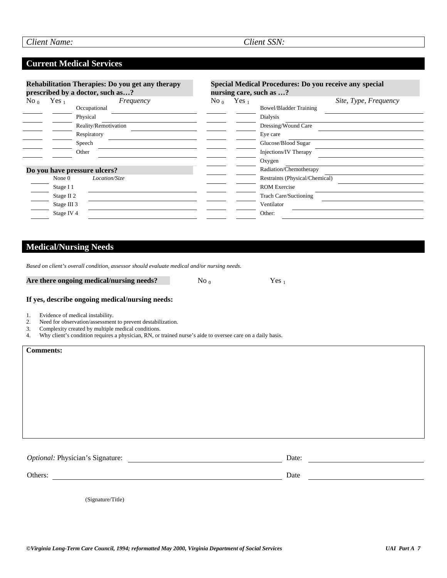### **Current Medical Services**

| Rehabilitation Therapies: Do you get any therapy<br>prescribed by a doctor, such as? |                              | Special Medical Procedures: Do you receive any special<br>nursing care, such as ? |         |                              |                                |
|--------------------------------------------------------------------------------------|------------------------------|-----------------------------------------------------------------------------------|---------|------------------------------|--------------------------------|
| $\mathrm{No}_{0}$                                                                    | Yes <sub>1</sub>             | Frequency                                                                         | No $_0$ | Yes <sub>1</sub>             | Site, Type, Frequency          |
|                                                                                      |                              | Occupational                                                                      |         |                              | <b>Bowel/Bladder Training</b>  |
|                                                                                      |                              | Physical                                                                          |         |                              | Dialysis                       |
|                                                                                      |                              | Reality/Remotivation                                                              |         |                              | Dressing/Wound Care            |
|                                                                                      |                              | Respiratory                                                                       |         |                              | Eye care                       |
|                                                                                      | Speech                       |                                                                                   |         |                              | Glucose/Blood Sugar            |
| Other                                                                                |                              |                                                                                   |         | Injections/IV Therapy        |                                |
|                                                                                      |                              |                                                                                   |         |                              | Oxygen                         |
|                                                                                      | Do you have pressure ulcers? |                                                                                   |         |                              | Radiation/Chemotherapy         |
|                                                                                      | None $0$                     | Location/Size                                                                     |         |                              | Restraints (Physical/Chemical) |
|                                                                                      | Stage I 1                    |                                                                                   |         |                              | <b>ROM Exercise</b>            |
| Stage II <sub>2</sub><br>Stage III 3                                                 |                              |                                                                                   |         | <b>Trach Care/Suctioning</b> |                                |
|                                                                                      |                              |                                                                                   |         | Ventilator                   |                                |
|                                                                                      | Stage IV 4                   |                                                                                   |         |                              | Other:                         |

# **Medical/Nursing Needs**

|  | Based on client's overall condition, assessor should evaluate medical and/or nursing needs. |
|--|---------------------------------------------------------------------------------------------|
|--|---------------------------------------------------------------------------------------------|

| Are there ongoing medical/nursing needs? | No $_0$ | Yes <sub>1</sub> |
|------------------------------------------|---------|------------------|
|------------------------------------------|---------|------------------|

#### **If yes, describe ongoing medical/nursing needs:**

- 1. Evidence of medical instability.<br>2. Need for observation/assessmen
- 2. Need for observation/assessment to prevent destabilization.
- 3. Complexity created by multiple medical conditions.
- 4. Why client's condition requires a physician, RN, or trained nurse's aide to oversee care on a daily basis.

| <b>Comments:</b>                            |               |  |
|---------------------------------------------|---------------|--|
|                                             |               |  |
| Optional: Physician's Signature:<br>Others: | Date:<br>Date |  |

(Signature/Title)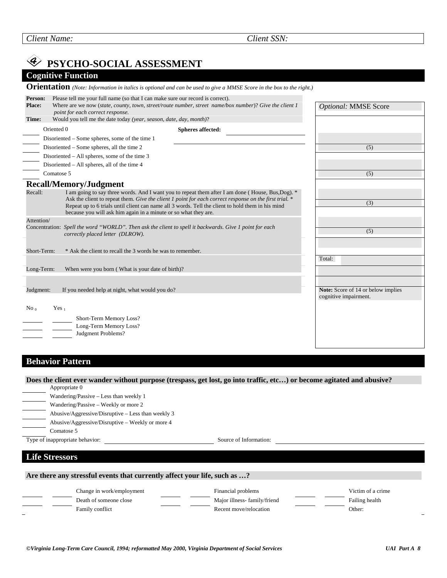No  $_0$  Yes 1 Short-Term Memory Loss? Long-Term Memory Loss? Judgment Problems?  **PSYCHO-SOCIAL ASSESSMENT Cognitive Function Orientation** *(Note: Information in italics is optional and can be used to give a MMSE Score in the box to the right.)*  **Person:** Please tell me your full name (so that I can make sure our record is correct). **Place:** Where are we now (*state, county, town, street/route number, street name/box number*)? *Give the client 1 point for each correct response.*  **Time:** Would you tell me the date today *(year, season, date, day, month)*? Oriented 0 **Spheres affected:**  Disoriented – Some spheres, some of the time 1 Disoriented – Some spheres, all the time 2 Disoriented – All spheres, some of the time 3 Disoriented – All spheres, all of the time 4 Comatose 5 **Recall/Memory/Judgment**  Recall: I am going to say three words. And I want you to repeat them after I am done ( House, Bus, Dog). \* Ask the client to repeat them. Give the client 1 point for each correct response on the first trial.<sup>\*</sup> Repeat up to 6 trials until client can name all 3 words. Tell the client to hold them in his mind because you will ask him again in a minute or so what they are. Attention/ Concentration: *Spell the word "WORLD". Then ask the client to spell it backwards. Give 1 point for each correctly placed letter (DLROW).*  Short-Term: \* Ask the client to recall the 3 words he was to remember. Long-Term: When were you born ( What is your date of birth)? Judgment: If you needed help at night, what would you do? *Optional:* MMSE Score (5) (5) (3) (5) Total: **Note:** Score of 14 or below implies cognitive impairment.

## **Behavior Pattern**

**Does the client ever wander without purpose (trespass, get lost, go into traffic, etc…) or become agitated and abusive?** 

Appropriate 0 Wandering/Passive – Less than weekly 1 Wandering/Passive – Weekly or more 2 Abusive/Aggressive/Disruptive – Less than weekly 3 Abusive/Aggressive/Disruptive – Weekly or more 4 Comatose 5

Type of inappropriate behavior: Source of Information:

#### **Life Stressors**

**Are there any stressful events that currently affect your life, such as …?** 

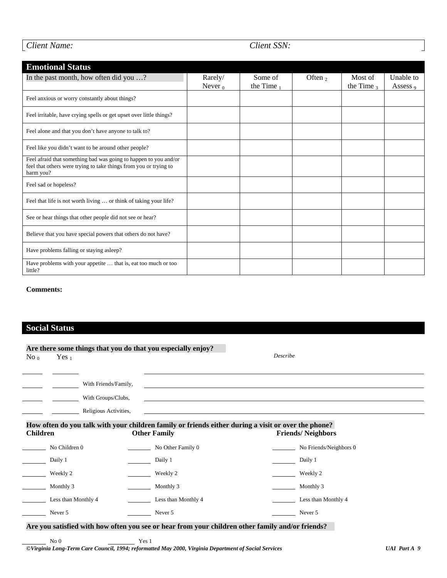|  | Client Name: |
|--|--------------|

 $\perp$ 

### *Client SSN:*

| <b>Emotional Status</b>                                                                                                                            |            |               |           |               |           |
|----------------------------------------------------------------------------------------------------------------------------------------------------|------------|---------------|-----------|---------------|-----------|
| In the past month, how often did you ?                                                                                                             | Rarely/    | Some of       | Often $2$ | Most of       | Unable to |
|                                                                                                                                                    | Never $_0$ | the Time $_1$ |           | the Time $_3$ | Assess 9  |
| Feel anxious or worry constantly about things?                                                                                                     |            |               |           |               |           |
| Feel irritable, have crying spells or get upset over little things?                                                                                |            |               |           |               |           |
| Feel alone and that you don't have anyone to talk to?                                                                                              |            |               |           |               |           |
| Feel like you didn't want to be around other people?                                                                                               |            |               |           |               |           |
| Feel afraid that something bad was going to happen to you and/or<br>feel that others were trying to take things from you or trying to<br>harm you? |            |               |           |               |           |
| Feel sad or hopeless?                                                                                                                              |            |               |           |               |           |
| Feel that life is not worth living  or think of taking your life?                                                                                  |            |               |           |               |           |
| See or hear things that other people did not see or hear?                                                                                          |            |               |           |               |           |
| Believe that you have special powers that others do not have?                                                                                      |            |               |           |               |           |
| Have problems falling or staying asleep?                                                                                                           |            |               |           |               |           |
| Have problems with your appetite  that is, eat too much or too<br>little?                                                                          |            |               |           |               |           |

#### **Comments:**

# **Social Status**

|                     | Are there some things that you do that you especially enjoy?                                                               | Describe                                                                                                         |
|---------------------|----------------------------------------------------------------------------------------------------------------------------|------------------------------------------------------------------------------------------------------------------|
| $No_0$<br>Yes $_1$  |                                                                                                                            |                                                                                                                  |
|                     | With Friends/Family,<br>With Groups/Clubs,<br>Religious Activities,                                                        | and the control of the control of the control of the control of the control of the control of the control of the |
| <b>Children</b>     | How often do you talk with your children family or friends either during a visit or over the phone?<br><b>Other Family</b> | <b>Friends/Neighbors</b>                                                                                         |
| No Children 0       | $\frac{1}{2}$ No Other Family 0                                                                                            | $\frac{1}{2}$ No Friends/Neighbors 0                                                                             |
| Daily 1             | Daily 1                                                                                                                    | Daily 1                                                                                                          |
| Weekly 2            | Weekly 2                                                                                                                   | Weekly 2                                                                                                         |
| Monthly 3           | Monthly 3                                                                                                                  | Monthly 3                                                                                                        |
| Less than Monthly 4 | Less than Monthly 4                                                                                                        | Less than Monthly 4                                                                                              |
| Never 5             | Never 5                                                                                                                    | Never 5                                                                                                          |
|                     | Are you satisfied with how often you see or hear from your children other family and/or friends?                           |                                                                                                                  |
| No <sub>0</sub>     | Yes 1                                                                                                                      |                                                                                                                  |
|                     | ©Virginia Long-Term Care Council, 1994; reformatted May 2000, Virginia Department of Social Services                       | <b>UAI</b> Part A 9                                                                                              |

 $\overline{\phantom{a}}$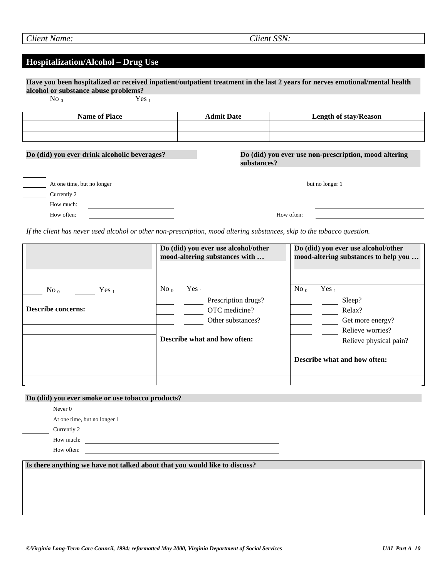# **Hospitalization/Alcohol – Drug Use**

 **Have you been hospitalized or received inpatient/outpatient treatment in the last 2 years for nerves emotional/mental health alcohol or substance abuse problems?**   $N<sub>0</sub>$  Yes 1

| $\sim$ $\prime$<br>$  -$                     |                   |                                                       |
|----------------------------------------------|-------------------|-------------------------------------------------------|
| <b>Name of Place</b>                         | <b>Admit Date</b> | <b>Length of stay/Reason</b>                          |
|                                              |                   |                                                       |
|                                              |                   |                                                       |
|                                              |                   |                                                       |
| Do (did) you ever drink alcoholic beverages? | substances?       | Do (did) you ever use non-prescription, mood altering |
|                                              |                   |                                                       |
|                                              |                   |                                                       |
| At one time, but no longer                   |                   | but no longer 1                                       |
| Currently 2                                  |                   |                                                       |
| How much:                                    |                   |                                                       |
| How often:                                   |                   | How often:                                            |

*If the client has never used alcohol or other non-prescription, mood altering substances, skip to the tobacco question.* 

|                                                                    | Do (did) you ever use alcohol/other<br>mood-altering substances with                                                     | Do (did) you ever use alcohol/other<br>mood-altering substances to help you                                                                       |
|--------------------------------------------------------------------|--------------------------------------------------------------------------------------------------------------------------|---------------------------------------------------------------------------------------------------------------------------------------------------|
| $\mathrm{No}_{0}$<br>Yes <sub>1</sub><br><b>Describe concerns:</b> | No <sub>0</sub><br>Yes $_1$<br>Prescription drugs?<br>OTC medicine?<br>Other substances?<br>Describe what and how often: | No <sub>0</sub><br>Yes $_1$<br>Sleep?<br>Relax?<br>Get more energy?<br>Relieve worries?<br>Relieve physical pain?<br>Describe what and how often: |
|                                                                    |                                                                                                                          |                                                                                                                                                   |

#### **Do (did) you ever smoke or use tobacco products?**

| Never $0$                    |
|------------------------------|
| At one time, but no longer 1 |
| Currently 2                  |
| How much:                    |
| How often:                   |

**Is there anything we have not talked about that you would like to discuss?**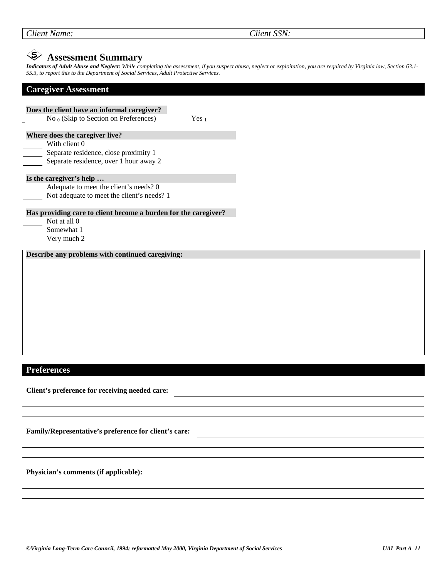| Client Name: |
|--------------|

*Client SSN:* 

# **Assessment Summary**

*Indicators of Adult Abuse and Neglect: While completing the assessment, if you suspect abuse, neglect or exploitation, you are required by Virginia law, Section 63.1- 55.3, to report this to the Department of Social Services, Adult Protective Services.* 

#### **Caregiver Assessment**

| Does the client have an informal caregiver?                     |                  |
|-----------------------------------------------------------------|------------------|
| No $_0$ (Skip to Section on Preferences)                        | Yes <sub>1</sub> |
| Where does the caregiver live?                                  |                  |
| With client 0                                                   |                  |
| Separate residence, close proximity 1                           |                  |
| Separate residence, over 1 hour away 2                          |                  |
| Is the caregiver's help                                         |                  |
| Adequate to meet the client's needs? 0                          |                  |
| Not adequate to meet the client's needs? 1                      |                  |
|                                                                 |                  |
| Has providing care to client become a burden for the caregiver? |                  |
| Not at all 0                                                    |                  |
| Somewhat 1                                                      |                  |
|                                                                 |                  |
| Very much 2                                                     |                  |
|                                                                 |                  |
| Describe any problems with continued caregiving:                |                  |
|                                                                 |                  |
|                                                                 |                  |
|                                                                 |                  |
|                                                                 |                  |
|                                                                 |                  |
|                                                                 |                  |
|                                                                 |                  |
|                                                                 |                  |
|                                                                 |                  |

#### **Preferences**

**Client's preference for receiving needed care:** 

**Family/Representative's preference for client's care:** 

**Physician's comments (if applicable):**